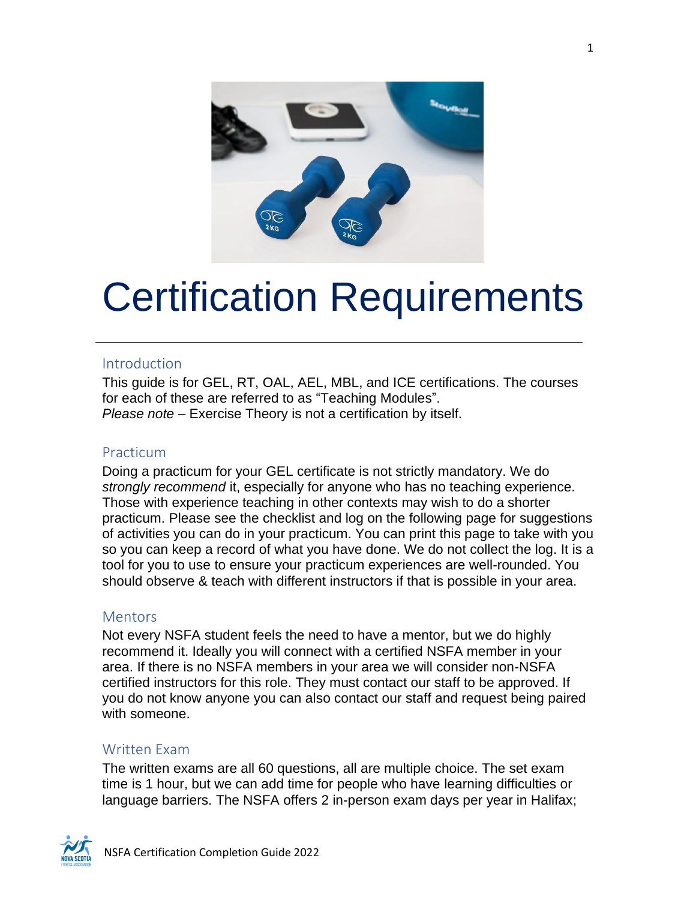

# Certification Requirements

#### Introduction

This guide is for GEL, RT, OAL, AEL, MBL, and ICE certifications. The courses for each of these are referred to as "Teaching Modules". *Please note* – Exercise Theory is not a certification by itself.

#### Practicum

Doing a practicum for your GEL certificate is not strictly mandatory. We do *strongly recommend* it, especially for anyone who has no teaching experience. Those with experience teaching in other contexts may wish to do a shorter practicum. Please see the checklist and log on the following page for suggestions of activities you can do in your practicum. You can print this page to take with you so you can keep a record of what you have done. We do not collect the log. It is a tool for you to use to ensure your practicum experiences are well-rounded. You should observe & teach with different instructors if that is possible in your area.

#### **Mentors**

Not every NSFA student feels the need to have a mentor, but we do highly recommend it. Ideally you will connect with a certified NSFA member in your area. If there is no NSFA members in your area we will consider non-NSFA certified instructors for this role. They must contact our staff to be approved. If you do not know anyone you can also contact our staff and request being paired with someone.

#### Written Exam

The written exams are all 60 questions, all are multiple choice. The set exam time is 1 hour, but we can add time for people who have learning difficulties or language barriers. The NSFA offers 2 in-person exam days per year in Halifax;

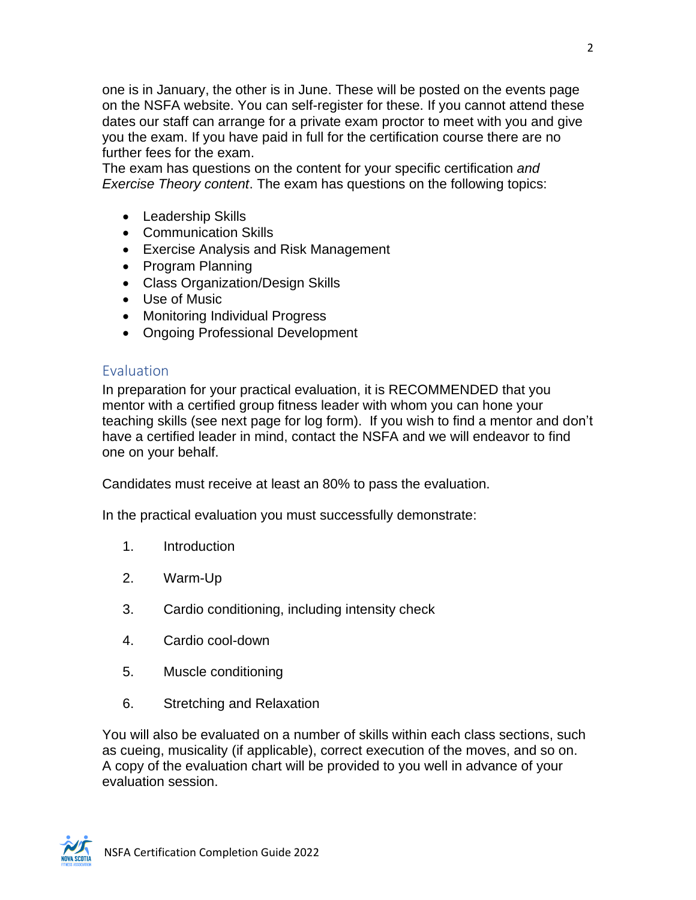one is in January, the other is in June. These will be posted on the events page on the NSFA website. You can self-register for these. If you cannot attend these dates our staff can arrange for a private exam proctor to meet with you and give you the exam. If you have paid in full for the certification course there are no further fees for the exam.

The exam has questions on the content for your specific certification *and Exercise Theory content*. The exam has questions on the following topics:

- Leadership Skills
- Communication Skills
- Exercise Analysis and Risk Management
- Program Planning
- Class Organization/Design Skills
- Use of Music
- Monitoring Individual Progress
- Ongoing Professional Development

#### Evaluation

In preparation for your practical evaluation, it is RECOMMENDED that you mentor with a certified group fitness leader with whom you can hone your teaching skills (see next page for log form). If you wish to find a mentor and don't have a certified leader in mind, contact the NSFA and we will endeavor to find one on your behalf.

Candidates must receive at least an 80% to pass the evaluation.

In the practical evaluation you must successfully demonstrate:

- 1. Introduction
- 2. Warm-Up
- 3. Cardio conditioning, including intensity check
- 4. Cardio cool-down
- 5. Muscle conditioning
- 6. Stretching and Relaxation

You will also be evaluated on a number of skills within each class sections, such as cueing, musicality (if applicable), correct execution of the moves, and so on. A copy of the evaluation chart will be provided to you well in advance of your evaluation session.

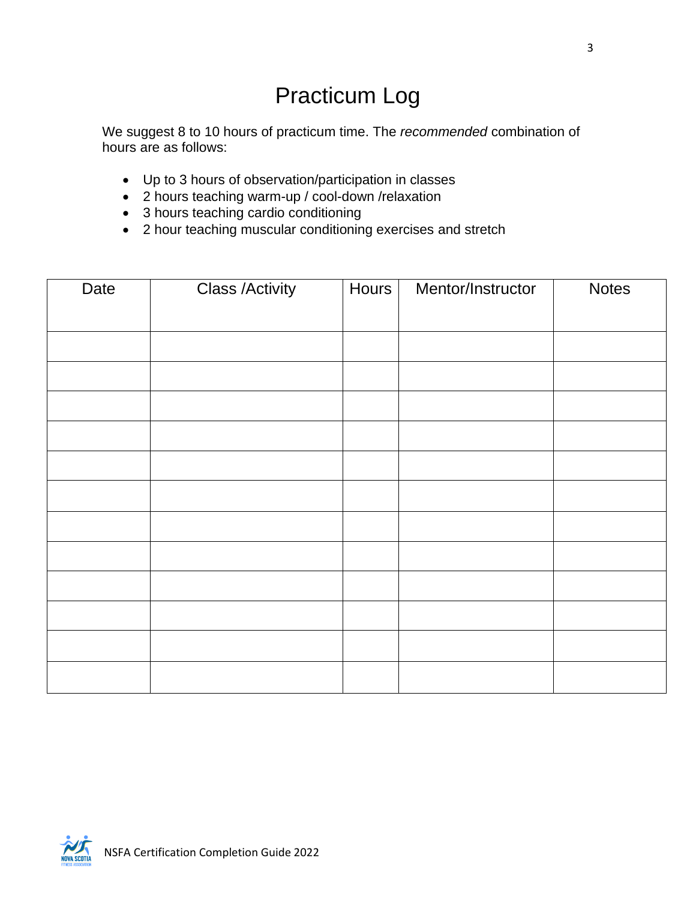### Practicum Log

We suggest 8 to 10 hours of practicum time. The *recommended* combination of hours are as follows:

- Up to 3 hours of observation/participation in classes
- 2 hours teaching warm-up / cool-down /relaxation
- 3 hours teaching cardio conditioning
- 2 hour teaching muscular conditioning exercises and stretch

| Date | <b>Class /Activity</b> | Hours | Mentor/Instructor | <b>Notes</b> |
|------|------------------------|-------|-------------------|--------------|
|      |                        |       |                   |              |
|      |                        |       |                   |              |
|      |                        |       |                   |              |
|      |                        |       |                   |              |
|      |                        |       |                   |              |
|      |                        |       |                   |              |
|      |                        |       |                   |              |
|      |                        |       |                   |              |
|      |                        |       |                   |              |
|      |                        |       |                   |              |
|      |                        |       |                   |              |
|      |                        |       |                   |              |
|      |                        |       |                   |              |